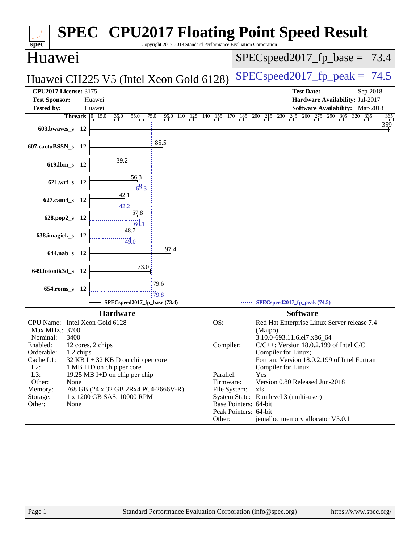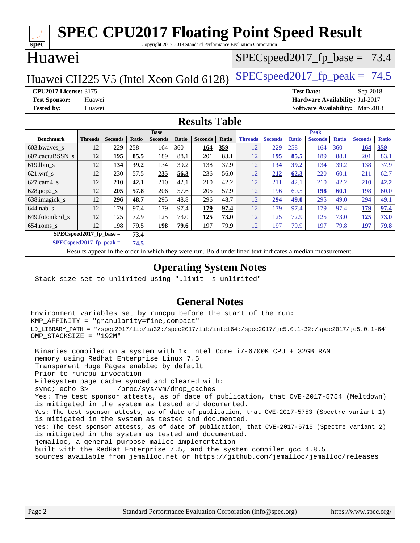### **[spec](http://www.spec.org/) [SPEC CPU2017 Floating Point Speed Result](http://www.spec.org/auto/cpu2017/Docs/result-fields.html#SPECCPU2017FloatingPointSpeedResult)** Copyright 2017-2018 Standard Performance Evaluation Corporation Huawei Huawei CH225 V5 (Intel Xeon Gold 6128) SPECspeed 2017 fp peak =  $74.5$  $SPECspeed2017_fp\_base = 73.4$ **[CPU2017 License:](http://www.spec.org/auto/cpu2017/Docs/result-fields.html#CPU2017License)** 3175 **[Test Date:](http://www.spec.org/auto/cpu2017/Docs/result-fields.html#TestDate)** Sep-2018 **[Test Sponsor:](http://www.spec.org/auto/cpu2017/Docs/result-fields.html#TestSponsor)** Huawei **[Hardware Availability:](http://www.spec.org/auto/cpu2017/Docs/result-fields.html#HardwareAvailability)** Jul-2017 **[Tested by:](http://www.spec.org/auto/cpu2017/Docs/result-fields.html#Testedby)** Huawei **[Software Availability:](http://www.spec.org/auto/cpu2017/Docs/result-fields.html#SoftwareAvailability)** Mar-2018 **[Results Table](http://www.spec.org/auto/cpu2017/Docs/result-fields.html#ResultsTable) [Benchmark](http://www.spec.org/auto/cpu2017/Docs/result-fields.html#Benchmark) [Threads](http://www.spec.org/auto/cpu2017/Docs/result-fields.html#Threads) [Seconds](http://www.spec.org/auto/cpu2017/Docs/result-fields.html#Seconds) [Ratio](http://www.spec.org/auto/cpu2017/Docs/result-fields.html#Ratio) [Seconds](http://www.spec.org/auto/cpu2017/Docs/result-fields.html#Seconds) [Ratio](http://www.spec.org/auto/cpu2017/Docs/result-fields.html#Ratio) [Seconds](http://www.spec.org/auto/cpu2017/Docs/result-fields.html#Seconds) [Ratio](http://www.spec.org/auto/cpu2017/Docs/result-fields.html#Ratio) Base [Threads](http://www.spec.org/auto/cpu2017/Docs/result-fields.html#Threads) [Seconds](http://www.spec.org/auto/cpu2017/Docs/result-fields.html#Seconds) [Ratio](http://www.spec.org/auto/cpu2017/Docs/result-fields.html#Ratio) [Seconds](http://www.spec.org/auto/cpu2017/Docs/result-fields.html#Seconds) [Ratio](http://www.spec.org/auto/cpu2017/Docs/result-fields.html#Ratio) [Seconds](http://www.spec.org/auto/cpu2017/Docs/result-fields.html#Seconds) [Ratio](http://www.spec.org/auto/cpu2017/Docs/result-fields.html#Ratio) Peak** [603.bwaves\\_s](http://www.spec.org/auto/cpu2017/Docs/benchmarks/603.bwaves_s.html) 12 229 258 164 360 **[164](http://www.spec.org/auto/cpu2017/Docs/result-fields.html#Median) [359](http://www.spec.org/auto/cpu2017/Docs/result-fields.html#Median)** 12 229 258 164 360 **[164](http://www.spec.org/auto/cpu2017/Docs/result-fields.html#Median) [359](http://www.spec.org/auto/cpu2017/Docs/result-fields.html#Median)** [607.cactuBSSN\\_s](http://www.spec.org/auto/cpu2017/Docs/benchmarks/607.cactuBSSN_s.html) 12 **[195](http://www.spec.org/auto/cpu2017/Docs/result-fields.html#Median) [85.5](http://www.spec.org/auto/cpu2017/Docs/result-fields.html#Median)** 189 88.1 201 83.1 12 **[195](http://www.spec.org/auto/cpu2017/Docs/result-fields.html#Median) [85.5](http://www.spec.org/auto/cpu2017/Docs/result-fields.html#Median)** 189 88.1 201 83.1 [619.lbm\\_s](http://www.spec.org/auto/cpu2017/Docs/benchmarks/619.lbm_s.html) 12 **[134](http://www.spec.org/auto/cpu2017/Docs/result-fields.html#Median) [39.2](http://www.spec.org/auto/cpu2017/Docs/result-fields.html#Median)** 134 39.2 138 37.9 12 **[134](http://www.spec.org/auto/cpu2017/Docs/result-fields.html#Median) [39.2](http://www.spec.org/auto/cpu2017/Docs/result-fields.html#Median)** 134 39.2 138 37.9 [621.wrf\\_s](http://www.spec.org/auto/cpu2017/Docs/benchmarks/621.wrf_s.html) 12 230 57.5 **[235](http://www.spec.org/auto/cpu2017/Docs/result-fields.html#Median) [56.3](http://www.spec.org/auto/cpu2017/Docs/result-fields.html#Median)** 236 56.0 12 **[212](http://www.spec.org/auto/cpu2017/Docs/result-fields.html#Median) [62.3](http://www.spec.org/auto/cpu2017/Docs/result-fields.html#Median)** 220 60.1 211 62.7 [627.cam4\\_s](http://www.spec.org/auto/cpu2017/Docs/benchmarks/627.cam4_s.html) 12 **[210](http://www.spec.org/auto/cpu2017/Docs/result-fields.html#Median) [42.1](http://www.spec.org/auto/cpu2017/Docs/result-fields.html#Median)** 210 42.1 210 42.2 12 211 42.1 210 42.2 **[210](http://www.spec.org/auto/cpu2017/Docs/result-fields.html#Median) [42.2](http://www.spec.org/auto/cpu2017/Docs/result-fields.html#Median)** [628.pop2\\_s](http://www.spec.org/auto/cpu2017/Docs/benchmarks/628.pop2_s.html) 12 **[205](http://www.spec.org/auto/cpu2017/Docs/result-fields.html#Median) [57.8](http://www.spec.org/auto/cpu2017/Docs/result-fields.html#Median)** 206 57.6 205 57.9 12 196 60.5 **[198](http://www.spec.org/auto/cpu2017/Docs/result-fields.html#Median) [60.1](http://www.spec.org/auto/cpu2017/Docs/result-fields.html#Median)** 198 60.0 [638.imagick\\_s](http://www.spec.org/auto/cpu2017/Docs/benchmarks/638.imagick_s.html) 12 **[296](http://www.spec.org/auto/cpu2017/Docs/result-fields.html#Median) [48.7](http://www.spec.org/auto/cpu2017/Docs/result-fields.html#Median)** 295 48.8 296 48.7 12 **[294](http://www.spec.org/auto/cpu2017/Docs/result-fields.html#Median) [49.0](http://www.spec.org/auto/cpu2017/Docs/result-fields.html#Median)** 295 49.0 294 49.1 [644.nab\\_s](http://www.spec.org/auto/cpu2017/Docs/benchmarks/644.nab_s.html) 12 179 97.4 179 97.4 **[179](http://www.spec.org/auto/cpu2017/Docs/result-fields.html#Median) [97.4](http://www.spec.org/auto/cpu2017/Docs/result-fields.html#Median)** 12 179 97.4 179 97.4 **[179](http://www.spec.org/auto/cpu2017/Docs/result-fields.html#Median) [97.4](http://www.spec.org/auto/cpu2017/Docs/result-fields.html#Median)** [649.fotonik3d\\_s](http://www.spec.org/auto/cpu2017/Docs/benchmarks/649.fotonik3d_s.html) 12 125 72.9 125 73.0 **[125](http://www.spec.org/auto/cpu2017/Docs/result-fields.html#Median) [73.0](http://www.spec.org/auto/cpu2017/Docs/result-fields.html#Median)** 12 125 72.9 125 73.0 **[125](http://www.spec.org/auto/cpu2017/Docs/result-fields.html#Median) [73.0](http://www.spec.org/auto/cpu2017/Docs/result-fields.html#Median)**

[654.roms\\_s](http://www.spec.org/auto/cpu2017/Docs/benchmarks/654.roms_s.html) 12 198 79.5 **[198](http://www.spec.org/auto/cpu2017/Docs/result-fields.html#Median) [79.6](http://www.spec.org/auto/cpu2017/Docs/result-fields.html#Median)** 197 79.9 12 197 79.9 197 79.8 **[197](http://www.spec.org/auto/cpu2017/Docs/result-fields.html#Median) [79.8](http://www.spec.org/auto/cpu2017/Docs/result-fields.html#Median) [SPECspeed2017\\_fp\\_base =](http://www.spec.org/auto/cpu2017/Docs/result-fields.html#SPECspeed2017fpbase) 73.4**

**[SPECspeed2017\\_fp\\_peak =](http://www.spec.org/auto/cpu2017/Docs/result-fields.html#SPECspeed2017fppeak) 74.5**

Results appear in the [order in which they were run.](http://www.spec.org/auto/cpu2017/Docs/result-fields.html#RunOrder) Bold underlined text [indicates a median measurement](http://www.spec.org/auto/cpu2017/Docs/result-fields.html#Median).

### **[Operating System Notes](http://www.spec.org/auto/cpu2017/Docs/result-fields.html#OperatingSystemNotes)**

Stack size set to unlimited using "ulimit -s unlimited"

### **[General Notes](http://www.spec.org/auto/cpu2017/Docs/result-fields.html#GeneralNotes)**

Environment variables set by runcpu before the start of the run: KMP\_AFFINITY = "granularity=fine,compact" LD\_LIBRARY\_PATH = "/spec2017/lib/ia32:/spec2017/lib/intel64:/spec2017/je5.0.1-32:/spec2017/je5.0.1-64" OMP\_STACKSIZE = "192M"

 Binaries compiled on a system with 1x Intel Core i7-6700K CPU + 32GB RAM memory using Redhat Enterprise Linux 7.5 Transparent Huge Pages enabled by default Prior to runcpu invocation Filesystem page cache synced and cleared with: sync; echo 3> /proc/sys/vm/drop\_caches Yes: The test sponsor attests, as of date of publication, that CVE-2017-5754 (Meltdown) is mitigated in the system as tested and documented. Yes: The test sponsor attests, as of date of publication, that CVE-2017-5753 (Spectre variant 1) is mitigated in the system as tested and documented. Yes: The test sponsor attests, as of date of publication, that CVE-2017-5715 (Spectre variant 2) is mitigated in the system as tested and documented. jemalloc, a general purpose malloc implementation built with the RedHat Enterprise 7.5, and the system compiler gcc 4.8.5 sources available from jemalloc.net or <https://github.com/jemalloc/jemalloc/releases>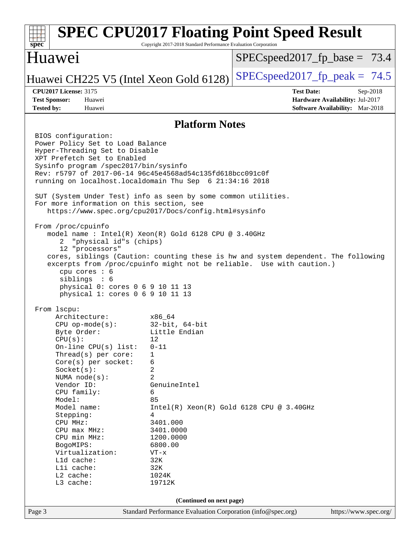### Page 3 Standard Performance Evaluation Corporation [\(info@spec.org\)](mailto:info@spec.org) <https://www.spec.org/> **[spec](http://www.spec.org/) [SPEC CPU2017 Floating Point Speed Result](http://www.spec.org/auto/cpu2017/Docs/result-fields.html#SPECCPU2017FloatingPointSpeedResult)** Copyright 2017-2018 Standard Performance Evaluation Corporation Huawei Huawei CH225 V5 (Intel Xeon Gold 6128) SPECspeed 2017 fp peak =  $74.5$  $SPECspeed2017_fp\_base = 73.4$ **[CPU2017 License:](http://www.spec.org/auto/cpu2017/Docs/result-fields.html#CPU2017License)** 3175 **[Test Date:](http://www.spec.org/auto/cpu2017/Docs/result-fields.html#TestDate)** Sep-2018 **[Test Sponsor:](http://www.spec.org/auto/cpu2017/Docs/result-fields.html#TestSponsor)** Huawei **[Hardware Availability:](http://www.spec.org/auto/cpu2017/Docs/result-fields.html#HardwareAvailability)** Jul-2017 **[Tested by:](http://www.spec.org/auto/cpu2017/Docs/result-fields.html#Testedby)** Huawei **[Software Availability:](http://www.spec.org/auto/cpu2017/Docs/result-fields.html#SoftwareAvailability)** Mar-2018 **[Platform Notes](http://www.spec.org/auto/cpu2017/Docs/result-fields.html#PlatformNotes)** BIOS configuration: Power Policy Set to Load Balance Hyper-Threading Set to Disable XPT Prefetch Set to Enabled Sysinfo program /spec2017/bin/sysinfo Rev: r5797 of 2017-06-14 96c45e4568ad54c135fd618bcc091c0f running on localhost.localdomain Thu Sep 6 21:34:16 2018 SUT (System Under Test) info as seen by some common utilities. For more information on this section, see <https://www.spec.org/cpu2017/Docs/config.html#sysinfo> From /proc/cpuinfo model name : Intel(R) Xeon(R) Gold 6128 CPU @ 3.40GHz 2 "physical id"s (chips) 12 "processors" cores, siblings (Caution: counting these is hw and system dependent. The following excerpts from /proc/cpuinfo might not be reliable. Use with caution.) cpu cores : 6 siblings : 6 physical 0: cores 0 6 9 10 11 13 physical 1: cores 0 6 9 10 11 13 From lscpu: Architecture: x86\_64 CPU op-mode(s): 32-bit, 64-bit Byte Order: Little Endian  $CPU(s):$  12 On-line CPU(s) list: 0-11 Thread(s) per core: 1 Core(s) per socket: 6 Socket(s): 2 NUMA node(s): 2 Vendor ID: GenuineIntel CPU family: 6 Model: 85 Model name:  $Intel(R)$  Xeon(R) Gold 6128 CPU @ 3.40GHz Stepping: 4 CPU MHz: 3401.000 CPU max MHz: 3401.0000 CPU min MHz: 1200.0000 BogoMIPS: 6800.00 Virtualization: VT-x L1d cache: 32K L1i cache: 32K L2 cache: 1024K L3 cache: 19712K **(Continued on next page)**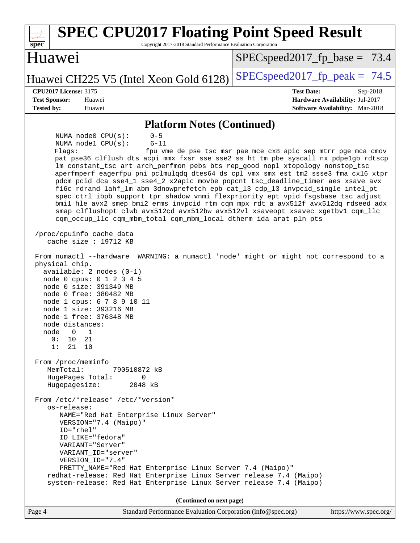| <b>SPEC CPU2017 Floating Point Speed Result</b><br>Copyright 2017-2018 Standard Performance Evaluation Corporation<br>spec <sup>®</sup>                                                                                                                                                                                                                                                                                                                                                                                                                                                                                                                                                                                                                                                                                                                                                                                                                                                                                                                                                                                                                                                                                                                                                                                                                                                                                                                                                                                                         |                                                                                                            |  |
|-------------------------------------------------------------------------------------------------------------------------------------------------------------------------------------------------------------------------------------------------------------------------------------------------------------------------------------------------------------------------------------------------------------------------------------------------------------------------------------------------------------------------------------------------------------------------------------------------------------------------------------------------------------------------------------------------------------------------------------------------------------------------------------------------------------------------------------------------------------------------------------------------------------------------------------------------------------------------------------------------------------------------------------------------------------------------------------------------------------------------------------------------------------------------------------------------------------------------------------------------------------------------------------------------------------------------------------------------------------------------------------------------------------------------------------------------------------------------------------------------------------------------------------------------|------------------------------------------------------------------------------------------------------------|--|
| Huawei                                                                                                                                                                                                                                                                                                                                                                                                                                                                                                                                                                                                                                                                                                                                                                                                                                                                                                                                                                                                                                                                                                                                                                                                                                                                                                                                                                                                                                                                                                                                          | $SPEC speed2017_fp\_base = 73.4$                                                                           |  |
| Huawei CH225 V5 (Intel Xeon Gold 6128)                                                                                                                                                                                                                                                                                                                                                                                                                                                                                                                                                                                                                                                                                                                                                                                                                                                                                                                                                                                                                                                                                                                                                                                                                                                                                                                                                                                                                                                                                                          | $SPEC speed2017fr peak = 74.5$                                                                             |  |
| <b>CPU2017 License: 3175</b><br><b>Test Sponsor:</b><br>Huawei<br><b>Tested by:</b><br>Huawei                                                                                                                                                                                                                                                                                                                                                                                                                                                                                                                                                                                                                                                                                                                                                                                                                                                                                                                                                                                                                                                                                                                                                                                                                                                                                                                                                                                                                                                   | <b>Test Date:</b><br>Sep-2018<br>Hardware Availability: Jul-2017<br><b>Software Availability:</b> Mar-2018 |  |
| <b>Platform Notes (Continued)</b>                                                                                                                                                                                                                                                                                                                                                                                                                                                                                                                                                                                                                                                                                                                                                                                                                                                                                                                                                                                                                                                                                                                                                                                                                                                                                                                                                                                                                                                                                                               |                                                                                                            |  |
| NUMA node0 CPU(s):<br>$0 - 5$<br>NUMA nodel CPU(s):<br>$6 - 11$<br>Flagg:<br>pat pse36 clflush dts acpi mmx fxsr sse sse2 ss ht tm pbe syscall nx pdpelgb rdtscp<br>lm constant_tsc art arch_perfmon pebs bts rep_good nopl xtopology nonstop_tsc<br>aperfmperf eagerfpu pni pclmulqdq dtes64 ds_cpl vmx smx est tm2 ssse3 fma cx16 xtpr<br>pdcm pcid dca sse4_1 sse4_2 x2apic movbe popcnt tsc_deadline_timer aes xsave avx<br>f16c rdrand lahf_lm abm 3dnowprefetch epb cat_13 cdp_13 invpcid_single intel_pt<br>spec_ctrl ibpb_support tpr_shadow vnmi flexpriority ept vpid fsgsbase tsc_adjust<br>bmil hle avx2 smep bmi2 erms invpcid rtm cqm mpx rdt_a avx512f avx512dq rdseed adx<br>smap clflushopt clwb avx512cd avx512bw avx512vl xsaveopt xsavec xgetbvl cqm_llc<br>cqm_occup_llc cqm_mbm_total cqm_mbm_local dtherm ida arat pln pts<br>/proc/cpuinfo cache data<br>cache size : 19712 KB<br>From numactl --hardware WARNING: a numactl 'node' might or might not correspond to a<br>physical chip.<br>$available: 2 nodes (0-1)$<br>node 0 cpus: 0 1 2 3 4 5<br>node 0 size: 391349 MB<br>node 0 free: 380482 MB<br>node 1 cpus: 6 7 8 9 10 11<br>node 1 size: 393216 MB<br>node 1 free: 376348 MB<br>node distances:<br>node 0 1<br>0 :<br>10<br>21<br>1:<br>21 10<br>From /proc/meminfo<br>MemTotal:<br>790510872 kB<br>HugePages_Total:<br>0<br>Hugepagesize: 2048 kB<br>From /etc/*release* /etc/*version*<br>os-release:<br>NAME="Red Hat Enterprise Linux Server"<br>VERSION="7.4 (Maipo)"<br>ID="rhel"<br>ID LIKE="fedora" | fpu vme de pse tsc msr pae mce cx8 apic sep mtrr pge mca cmov                                              |  |
| VARIANT="Server"<br>VARIANT_ID="server"<br>VERSION_ID="7.4"<br>PRETTY_NAME="Red Hat Enterprise Linux Server 7.4 (Maipo)"<br>redhat-release: Red Hat Enterprise Linux Server release 7.4 (Maipo)<br>system-release: Red Hat Enterprise Linux Server release 7.4 (Maipo)                                                                                                                                                                                                                                                                                                                                                                                                                                                                                                                                                                                                                                                                                                                                                                                                                                                                                                                                                                                                                                                                                                                                                                                                                                                                          |                                                                                                            |  |
| (Continued on next page)                                                                                                                                                                                                                                                                                                                                                                                                                                                                                                                                                                                                                                                                                                                                                                                                                                                                                                                                                                                                                                                                                                                                                                                                                                                                                                                                                                                                                                                                                                                        |                                                                                                            |  |
| Standard Performance Evaluation Corporation (info@spec.org)<br>Page 4                                                                                                                                                                                                                                                                                                                                                                                                                                                                                                                                                                                                                                                                                                                                                                                                                                                                                                                                                                                                                                                                                                                                                                                                                                                                                                                                                                                                                                                                           | https://www.spec.org/                                                                                      |  |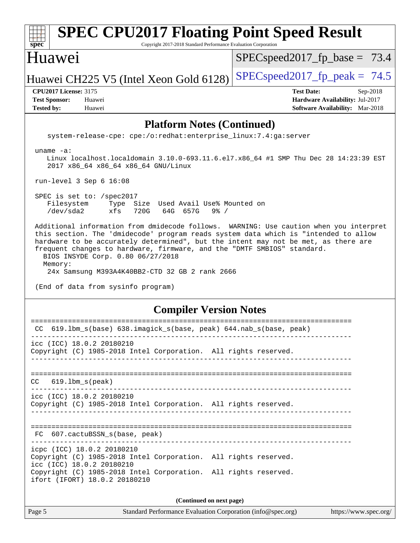### Page 5 Standard Performance Evaluation Corporation [\(info@spec.org\)](mailto:info@spec.org) <https://www.spec.org/> **[spec](http://www.spec.org/) [SPEC CPU2017 Floating Point Speed Result](http://www.spec.org/auto/cpu2017/Docs/result-fields.html#SPECCPU2017FloatingPointSpeedResult)** Copyright 2017-2018 Standard Performance Evaluation Corporation Huawei Huawei CH225 V5 (Intel Xeon Gold 6128) SPECspeed 2017 fp peak =  $74.5$  $SPECspeed2017_fp\_base = 73.4$ **[CPU2017 License:](http://www.spec.org/auto/cpu2017/Docs/result-fields.html#CPU2017License)** 3175 **[Test Date:](http://www.spec.org/auto/cpu2017/Docs/result-fields.html#TestDate)** Sep-2018 **[Test Sponsor:](http://www.spec.org/auto/cpu2017/Docs/result-fields.html#TestSponsor)** Huawei **[Hardware Availability:](http://www.spec.org/auto/cpu2017/Docs/result-fields.html#HardwareAvailability)** Jul-2017 **[Tested by:](http://www.spec.org/auto/cpu2017/Docs/result-fields.html#Testedby)** Huawei **[Software Availability:](http://www.spec.org/auto/cpu2017/Docs/result-fields.html#SoftwareAvailability)** Mar-2018 **[Platform Notes \(Continued\)](http://www.spec.org/auto/cpu2017/Docs/result-fields.html#PlatformNotes)** system-release-cpe: cpe:/o:redhat:enterprise\_linux:7.4:ga:server uname -a: Linux localhost.localdomain 3.10.0-693.11.6.el7.x86\_64 #1 SMP Thu Dec 28 14:23:39 EST 2017 x86\_64 x86\_64 x86\_64 GNU/Linux run-level 3 Sep 6 16:08 SPEC is set to: /spec2017 Filesystem Type Size Used Avail Use% Mounted on /dev/sda2 xfs 720G 64G 657G 9% / Additional information from dmidecode follows. WARNING: Use caution when you interpret this section. The 'dmidecode' program reads system data which is "intended to allow hardware to be accurately determined", but the intent may not be met, as there are frequent changes to hardware, firmware, and the "DMTF SMBIOS" standard. BIOS INSYDE Corp. 0.80 06/27/2018 Memory: 24x Samsung M393A4K40BB2-CTD 32 GB 2 rank 2666 (End of data from sysinfo program) **[Compiler Version Notes](http://www.spec.org/auto/cpu2017/Docs/result-fields.html#CompilerVersionNotes)** ============================================================================== CC 619.lbm\_s(base) 638.imagick\_s(base, peak) 644.nab\_s(base, peak) ----------------------------------------------------------------------------- icc (ICC) 18.0.2 20180210 Copyright (C) 1985-2018 Intel Corporation. All rights reserved. ------------------------------------------------------------------------------ ============================================================================== CC 619.lbm\_s(peak) ----------------------------------------------------------------------------- icc (ICC) 18.0.2 20180210 Copyright (C) 1985-2018 Intel Corporation. All rights reserved. ------------------------------------------------------------------------------ ============================================================================== FC 607.cactuBSSN s(base, peak) ----------------------------------------------------------------------------- icpc (ICC) 18.0.2 20180210 Copyright (C) 1985-2018 Intel Corporation. All rights reserved. icc (ICC) 18.0.2 20180210 Copyright (C) 1985-2018 Intel Corporation. All rights reserved. ifort (IFORT) 18.0.2 20180210 **(Continued on next page)**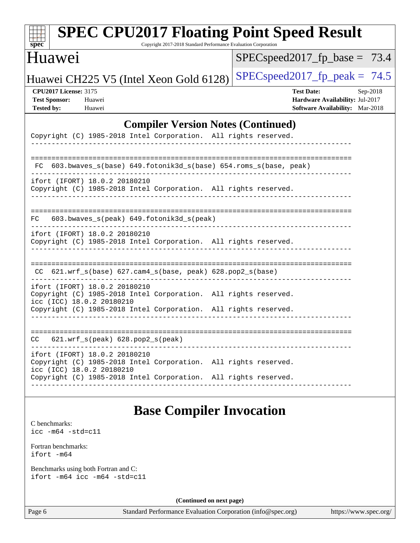| <b>SPEC CPU2017 Floating Point Speed Result</b>                                                                                                                                                  |                                                                                                     |
|--------------------------------------------------------------------------------------------------------------------------------------------------------------------------------------------------|-----------------------------------------------------------------------------------------------------|
| $spec^*$<br>Copyright 2017-2018 Standard Performance Evaluation Corporation<br>Huawei                                                                                                            | $SPEC speed2017$ fp base = 73.4                                                                     |
| Huawei CH225 V5 (Intel Xeon Gold 6128)                                                                                                                                                           | $SPEC speed2017_fp_peak = 74.5$                                                                     |
| <b>CPU2017 License: 3175</b><br><b>Test Sponsor:</b><br>Huawei<br><b>Tested by:</b><br>Huawei                                                                                                    | <b>Test Date:</b><br>Sep-2018<br>Hardware Availability: Jul-2017<br>Software Availability: Mar-2018 |
| <b>Compiler Version Notes (Continued)</b><br>Copyright (C) 1985-2018 Intel Corporation. All rights reserved.                                                                                     |                                                                                                     |
| 603.bwaves_s(base) 649.fotonik3d_s(base) 654.roms_s(base, peak)<br>FC.                                                                                                                           | ======================                                                                              |
| ifort (IFORT) 18.0.2 20180210<br>Copyright (C) 1985-2018 Intel Corporation. All rights reserved.                                                                                                 |                                                                                                     |
| 603.bwaves_s(peak) 649.fotonik3d_s(peak)<br>FC.                                                                                                                                                  |                                                                                                     |
| ifort (IFORT) 18.0.2 20180210<br>Copyright (C) 1985-2018 Intel Corporation. All rights reserved.                                                                                                 |                                                                                                     |
| 621.wrf_s(base) 627.cam4_s(base, peak) 628.pop2_s(base)<br>CC.                                                                                                                                   |                                                                                                     |
| ifort (IFORT) 18.0.2 20180210<br>Copyright (C) 1985-2018 Intel Corporation. All rights reserved.<br>icc (ICC) 18.0.2 20180210                                                                    |                                                                                                     |
| Copyright (C) 1985-2018 Intel Corporation. All rights reserved.                                                                                                                                  |                                                                                                     |
| $621.wrf_s(peak)$ $628.pop2_s(peak)$<br>CC.                                                                                                                                                      |                                                                                                     |
| ifort (IFORT) 18.0.2 20180210<br>Copyright (C) 1985-2018 Intel Corporation. All rights reserved.<br>icc (ICC) 18.0.2 20180210<br>Copyright (C) 1985-2018 Intel Corporation. All rights reserved. |                                                                                                     |
|                                                                                                                                                                                                  |                                                                                                     |

# **[Base Compiler Invocation](http://www.spec.org/auto/cpu2017/Docs/result-fields.html#BaseCompilerInvocation)**

[C benchmarks](http://www.spec.org/auto/cpu2017/Docs/result-fields.html#Cbenchmarks): [icc -m64 -std=c11](http://www.spec.org/cpu2017/results/res2018q4/cpu2017-20180911-08849.flags.html#user_CCbase_intel_icc_64bit_c11_33ee0cdaae7deeeab2a9725423ba97205ce30f63b9926c2519791662299b76a0318f32ddfffdc46587804de3178b4f9328c46fa7c2b0cd779d7a61945c91cd35)

[Fortran benchmarks](http://www.spec.org/auto/cpu2017/Docs/result-fields.html#Fortranbenchmarks): [ifort -m64](http://www.spec.org/cpu2017/results/res2018q4/cpu2017-20180911-08849.flags.html#user_FCbase_intel_ifort_64bit_24f2bb282fbaeffd6157abe4f878425411749daecae9a33200eee2bee2fe76f3b89351d69a8130dd5949958ce389cf37ff59a95e7a40d588e8d3a57e0c3fd751)

[Benchmarks using both Fortran and C](http://www.spec.org/auto/cpu2017/Docs/result-fields.html#BenchmarksusingbothFortranandC): [ifort -m64](http://www.spec.org/cpu2017/results/res2018q4/cpu2017-20180911-08849.flags.html#user_CC_FCbase_intel_ifort_64bit_24f2bb282fbaeffd6157abe4f878425411749daecae9a33200eee2bee2fe76f3b89351d69a8130dd5949958ce389cf37ff59a95e7a40d588e8d3a57e0c3fd751) [icc -m64 -std=c11](http://www.spec.org/cpu2017/results/res2018q4/cpu2017-20180911-08849.flags.html#user_CC_FCbase_intel_icc_64bit_c11_33ee0cdaae7deeeab2a9725423ba97205ce30f63b9926c2519791662299b76a0318f32ddfffdc46587804de3178b4f9328c46fa7c2b0cd779d7a61945c91cd35)

**(Continued on next page)**

Page 6 Standard Performance Evaluation Corporation [\(info@spec.org\)](mailto:info@spec.org) <https://www.spec.org/>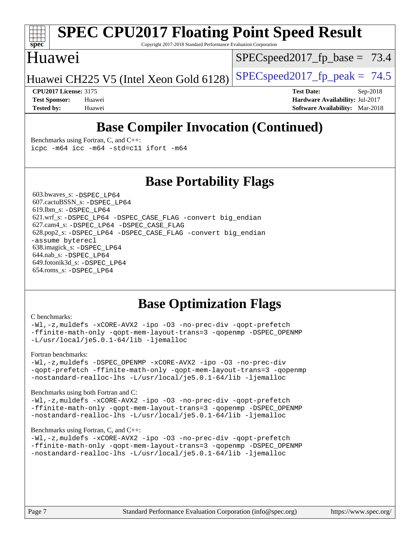

# **[SPEC CPU2017 Floating Point Speed Result](http://www.spec.org/auto/cpu2017/Docs/result-fields.html#SPECCPU2017FloatingPointSpeedResult)**

Copyright 2017-2018 Standard Performance Evaluation Corporation

### Huawei

 $SPECspeed2017_fp\_base = 73.4$ 

Huawei CH225 V5 (Intel Xeon Gold 6128) SPECspeed 2017 fp peak =  $74.5$ 

**[CPU2017 License:](http://www.spec.org/auto/cpu2017/Docs/result-fields.html#CPU2017License)** 3175 **[Test Date:](http://www.spec.org/auto/cpu2017/Docs/result-fields.html#TestDate)** Sep-2018 **[Test Sponsor:](http://www.spec.org/auto/cpu2017/Docs/result-fields.html#TestSponsor)** Huawei **[Hardware Availability:](http://www.spec.org/auto/cpu2017/Docs/result-fields.html#HardwareAvailability)** Jul-2017 **[Tested by:](http://www.spec.org/auto/cpu2017/Docs/result-fields.html#Testedby)** Huawei **[Software Availability:](http://www.spec.org/auto/cpu2017/Docs/result-fields.html#SoftwareAvailability)** Mar-2018

## **[Base Compiler Invocation \(Continued\)](http://www.spec.org/auto/cpu2017/Docs/result-fields.html#BaseCompilerInvocation)**

[Benchmarks using Fortran, C, and C++:](http://www.spec.org/auto/cpu2017/Docs/result-fields.html#BenchmarksusingFortranCandCXX) [icpc -m64](http://www.spec.org/cpu2017/results/res2018q4/cpu2017-20180911-08849.flags.html#user_CC_CXX_FCbase_intel_icpc_64bit_4ecb2543ae3f1412ef961e0650ca070fec7b7afdcd6ed48761b84423119d1bf6bdf5cad15b44d48e7256388bc77273b966e5eb805aefd121eb22e9299b2ec9d9) [icc -m64 -std=c11](http://www.spec.org/cpu2017/results/res2018q4/cpu2017-20180911-08849.flags.html#user_CC_CXX_FCbase_intel_icc_64bit_c11_33ee0cdaae7deeeab2a9725423ba97205ce30f63b9926c2519791662299b76a0318f32ddfffdc46587804de3178b4f9328c46fa7c2b0cd779d7a61945c91cd35) [ifort -m64](http://www.spec.org/cpu2017/results/res2018q4/cpu2017-20180911-08849.flags.html#user_CC_CXX_FCbase_intel_ifort_64bit_24f2bb282fbaeffd6157abe4f878425411749daecae9a33200eee2bee2fe76f3b89351d69a8130dd5949958ce389cf37ff59a95e7a40d588e8d3a57e0c3fd751)

### **[Base Portability Flags](http://www.spec.org/auto/cpu2017/Docs/result-fields.html#BasePortabilityFlags)**

 603.bwaves\_s: [-DSPEC\\_LP64](http://www.spec.org/cpu2017/results/res2018q4/cpu2017-20180911-08849.flags.html#suite_basePORTABILITY603_bwaves_s_DSPEC_LP64) 607.cactuBSSN\_s: [-DSPEC\\_LP64](http://www.spec.org/cpu2017/results/res2018q4/cpu2017-20180911-08849.flags.html#suite_basePORTABILITY607_cactuBSSN_s_DSPEC_LP64) 619.lbm\_s: [-DSPEC\\_LP64](http://www.spec.org/cpu2017/results/res2018q4/cpu2017-20180911-08849.flags.html#suite_basePORTABILITY619_lbm_s_DSPEC_LP64) 621.wrf\_s: [-DSPEC\\_LP64](http://www.spec.org/cpu2017/results/res2018q4/cpu2017-20180911-08849.flags.html#suite_basePORTABILITY621_wrf_s_DSPEC_LP64) [-DSPEC\\_CASE\\_FLAG](http://www.spec.org/cpu2017/results/res2018q4/cpu2017-20180911-08849.flags.html#b621.wrf_s_baseCPORTABILITY_DSPEC_CASE_FLAG) [-convert big\\_endian](http://www.spec.org/cpu2017/results/res2018q4/cpu2017-20180911-08849.flags.html#user_baseFPORTABILITY621_wrf_s_convert_big_endian_c3194028bc08c63ac5d04de18c48ce6d347e4e562e8892b8bdbdc0214820426deb8554edfa529a3fb25a586e65a3d812c835984020483e7e73212c4d31a38223) 627.cam4\_s: [-DSPEC\\_LP64](http://www.spec.org/cpu2017/results/res2018q4/cpu2017-20180911-08849.flags.html#suite_basePORTABILITY627_cam4_s_DSPEC_LP64) [-DSPEC\\_CASE\\_FLAG](http://www.spec.org/cpu2017/results/res2018q4/cpu2017-20180911-08849.flags.html#b627.cam4_s_baseCPORTABILITY_DSPEC_CASE_FLAG) 628.pop2\_s: [-DSPEC\\_LP64](http://www.spec.org/cpu2017/results/res2018q4/cpu2017-20180911-08849.flags.html#suite_basePORTABILITY628_pop2_s_DSPEC_LP64) [-DSPEC\\_CASE\\_FLAG](http://www.spec.org/cpu2017/results/res2018q4/cpu2017-20180911-08849.flags.html#b628.pop2_s_baseCPORTABILITY_DSPEC_CASE_FLAG) [-convert big\\_endian](http://www.spec.org/cpu2017/results/res2018q4/cpu2017-20180911-08849.flags.html#user_baseFPORTABILITY628_pop2_s_convert_big_endian_c3194028bc08c63ac5d04de18c48ce6d347e4e562e8892b8bdbdc0214820426deb8554edfa529a3fb25a586e65a3d812c835984020483e7e73212c4d31a38223) [-assume byterecl](http://www.spec.org/cpu2017/results/res2018q4/cpu2017-20180911-08849.flags.html#user_baseFPORTABILITY628_pop2_s_assume_byterecl_7e47d18b9513cf18525430bbf0f2177aa9bf368bc7a059c09b2c06a34b53bd3447c950d3f8d6c70e3faf3a05c8557d66a5798b567902e8849adc142926523472) 638.imagick\_s: [-DSPEC\\_LP64](http://www.spec.org/cpu2017/results/res2018q4/cpu2017-20180911-08849.flags.html#suite_basePORTABILITY638_imagick_s_DSPEC_LP64) 644.nab\_s: [-DSPEC\\_LP64](http://www.spec.org/cpu2017/results/res2018q4/cpu2017-20180911-08849.flags.html#suite_basePORTABILITY644_nab_s_DSPEC_LP64) 649.fotonik3d\_s: [-DSPEC\\_LP64](http://www.spec.org/cpu2017/results/res2018q4/cpu2017-20180911-08849.flags.html#suite_basePORTABILITY649_fotonik3d_s_DSPEC_LP64) 654.roms\_s: [-DSPEC\\_LP64](http://www.spec.org/cpu2017/results/res2018q4/cpu2017-20180911-08849.flags.html#suite_basePORTABILITY654_roms_s_DSPEC_LP64)

## **[Base Optimization Flags](http://www.spec.org/auto/cpu2017/Docs/result-fields.html#BaseOptimizationFlags)**

#### [C benchmarks](http://www.spec.org/auto/cpu2017/Docs/result-fields.html#Cbenchmarks):

[-Wl,-z,muldefs](http://www.spec.org/cpu2017/results/res2018q4/cpu2017-20180911-08849.flags.html#user_CCbase_link_force_multiple1_b4cbdb97b34bdee9ceefcfe54f4c8ea74255f0b02a4b23e853cdb0e18eb4525ac79b5a88067c842dd0ee6996c24547a27a4b99331201badda8798ef8a743f577) [-xCORE-AVX2](http://www.spec.org/cpu2017/results/res2018q4/cpu2017-20180911-08849.flags.html#user_CCbase_f-xCORE-AVX2) [-ipo](http://www.spec.org/cpu2017/results/res2018q4/cpu2017-20180911-08849.flags.html#user_CCbase_f-ipo) [-O3](http://www.spec.org/cpu2017/results/res2018q4/cpu2017-20180911-08849.flags.html#user_CCbase_f-O3) [-no-prec-div](http://www.spec.org/cpu2017/results/res2018q4/cpu2017-20180911-08849.flags.html#user_CCbase_f-no-prec-div) [-qopt-prefetch](http://www.spec.org/cpu2017/results/res2018q4/cpu2017-20180911-08849.flags.html#user_CCbase_f-qopt-prefetch) [-ffinite-math-only](http://www.spec.org/cpu2017/results/res2018q4/cpu2017-20180911-08849.flags.html#user_CCbase_f_finite_math_only_cb91587bd2077682c4b38af759c288ed7c732db004271a9512da14a4f8007909a5f1427ecbf1a0fb78ff2a814402c6114ac565ca162485bbcae155b5e4258871) [-qopt-mem-layout-trans=3](http://www.spec.org/cpu2017/results/res2018q4/cpu2017-20180911-08849.flags.html#user_CCbase_f-qopt-mem-layout-trans_de80db37974c74b1f0e20d883f0b675c88c3b01e9d123adea9b28688d64333345fb62bc4a798493513fdb68f60282f9a726aa07f478b2f7113531aecce732043) [-qopenmp](http://www.spec.org/cpu2017/results/res2018q4/cpu2017-20180911-08849.flags.html#user_CCbase_qopenmp_16be0c44f24f464004c6784a7acb94aca937f053568ce72f94b139a11c7c168634a55f6653758ddd83bcf7b8463e8028bb0b48b77bcddc6b78d5d95bb1df2967) [-DSPEC\\_OPENMP](http://www.spec.org/cpu2017/results/res2018q4/cpu2017-20180911-08849.flags.html#suite_CCbase_DSPEC_OPENMP) [-L/usr/local/je5.0.1-64/lib](http://www.spec.org/cpu2017/results/res2018q4/cpu2017-20180911-08849.flags.html#user_CCbase_jemalloc_link_path64_4b10a636b7bce113509b17f3bd0d6226c5fb2346b9178c2d0232c14f04ab830f976640479e5c33dc2bcbbdad86ecfb6634cbbd4418746f06f368b512fced5394) [-ljemalloc](http://www.spec.org/cpu2017/results/res2018q4/cpu2017-20180911-08849.flags.html#user_CCbase_jemalloc_link_lib_d1249b907c500fa1c0672f44f562e3d0f79738ae9e3c4a9c376d49f265a04b9c99b167ecedbf6711b3085be911c67ff61f150a17b3472be731631ba4d0471706)

#### [Fortran benchmarks](http://www.spec.org/auto/cpu2017/Docs/result-fields.html#Fortranbenchmarks):

[-Wl,-z,muldefs](http://www.spec.org/cpu2017/results/res2018q4/cpu2017-20180911-08849.flags.html#user_FCbase_link_force_multiple1_b4cbdb97b34bdee9ceefcfe54f4c8ea74255f0b02a4b23e853cdb0e18eb4525ac79b5a88067c842dd0ee6996c24547a27a4b99331201badda8798ef8a743f577) [-DSPEC\\_OPENMP](http://www.spec.org/cpu2017/results/res2018q4/cpu2017-20180911-08849.flags.html#suite_FCbase_DSPEC_OPENMP) [-xCORE-AVX2](http://www.spec.org/cpu2017/results/res2018q4/cpu2017-20180911-08849.flags.html#user_FCbase_f-xCORE-AVX2) [-ipo](http://www.spec.org/cpu2017/results/res2018q4/cpu2017-20180911-08849.flags.html#user_FCbase_f-ipo) [-O3](http://www.spec.org/cpu2017/results/res2018q4/cpu2017-20180911-08849.flags.html#user_FCbase_f-O3) [-no-prec-div](http://www.spec.org/cpu2017/results/res2018q4/cpu2017-20180911-08849.flags.html#user_FCbase_f-no-prec-div) [-qopt-prefetch](http://www.spec.org/cpu2017/results/res2018q4/cpu2017-20180911-08849.flags.html#user_FCbase_f-qopt-prefetch) [-ffinite-math-only](http://www.spec.org/cpu2017/results/res2018q4/cpu2017-20180911-08849.flags.html#user_FCbase_f_finite_math_only_cb91587bd2077682c4b38af759c288ed7c732db004271a9512da14a4f8007909a5f1427ecbf1a0fb78ff2a814402c6114ac565ca162485bbcae155b5e4258871) [-qopt-mem-layout-trans=3](http://www.spec.org/cpu2017/results/res2018q4/cpu2017-20180911-08849.flags.html#user_FCbase_f-qopt-mem-layout-trans_de80db37974c74b1f0e20d883f0b675c88c3b01e9d123adea9b28688d64333345fb62bc4a798493513fdb68f60282f9a726aa07f478b2f7113531aecce732043) [-qopenmp](http://www.spec.org/cpu2017/results/res2018q4/cpu2017-20180911-08849.flags.html#user_FCbase_qopenmp_16be0c44f24f464004c6784a7acb94aca937f053568ce72f94b139a11c7c168634a55f6653758ddd83bcf7b8463e8028bb0b48b77bcddc6b78d5d95bb1df2967) [-nostandard-realloc-lhs](http://www.spec.org/cpu2017/results/res2018q4/cpu2017-20180911-08849.flags.html#user_FCbase_f_2003_std_realloc_82b4557e90729c0f113870c07e44d33d6f5a304b4f63d4c15d2d0f1fab99f5daaed73bdb9275d9ae411527f28b936061aa8b9c8f2d63842963b95c9dd6426b8a) [-L/usr/local/je5.0.1-64/lib](http://www.spec.org/cpu2017/results/res2018q4/cpu2017-20180911-08849.flags.html#user_FCbase_jemalloc_link_path64_4b10a636b7bce113509b17f3bd0d6226c5fb2346b9178c2d0232c14f04ab830f976640479e5c33dc2bcbbdad86ecfb6634cbbd4418746f06f368b512fced5394) [-ljemalloc](http://www.spec.org/cpu2017/results/res2018q4/cpu2017-20180911-08849.flags.html#user_FCbase_jemalloc_link_lib_d1249b907c500fa1c0672f44f562e3d0f79738ae9e3c4a9c376d49f265a04b9c99b167ecedbf6711b3085be911c67ff61f150a17b3472be731631ba4d0471706)

#### [Benchmarks using both Fortran and C](http://www.spec.org/auto/cpu2017/Docs/result-fields.html#BenchmarksusingbothFortranandC):

[-Wl,-z,muldefs](http://www.spec.org/cpu2017/results/res2018q4/cpu2017-20180911-08849.flags.html#user_CC_FCbase_link_force_multiple1_b4cbdb97b34bdee9ceefcfe54f4c8ea74255f0b02a4b23e853cdb0e18eb4525ac79b5a88067c842dd0ee6996c24547a27a4b99331201badda8798ef8a743f577) [-xCORE-AVX2](http://www.spec.org/cpu2017/results/res2018q4/cpu2017-20180911-08849.flags.html#user_CC_FCbase_f-xCORE-AVX2) [-ipo](http://www.spec.org/cpu2017/results/res2018q4/cpu2017-20180911-08849.flags.html#user_CC_FCbase_f-ipo) [-O3](http://www.spec.org/cpu2017/results/res2018q4/cpu2017-20180911-08849.flags.html#user_CC_FCbase_f-O3) [-no-prec-div](http://www.spec.org/cpu2017/results/res2018q4/cpu2017-20180911-08849.flags.html#user_CC_FCbase_f-no-prec-div) [-qopt-prefetch](http://www.spec.org/cpu2017/results/res2018q4/cpu2017-20180911-08849.flags.html#user_CC_FCbase_f-qopt-prefetch) [-ffinite-math-only](http://www.spec.org/cpu2017/results/res2018q4/cpu2017-20180911-08849.flags.html#user_CC_FCbase_f_finite_math_only_cb91587bd2077682c4b38af759c288ed7c732db004271a9512da14a4f8007909a5f1427ecbf1a0fb78ff2a814402c6114ac565ca162485bbcae155b5e4258871) [-qopt-mem-layout-trans=3](http://www.spec.org/cpu2017/results/res2018q4/cpu2017-20180911-08849.flags.html#user_CC_FCbase_f-qopt-mem-layout-trans_de80db37974c74b1f0e20d883f0b675c88c3b01e9d123adea9b28688d64333345fb62bc4a798493513fdb68f60282f9a726aa07f478b2f7113531aecce732043) [-qopenmp](http://www.spec.org/cpu2017/results/res2018q4/cpu2017-20180911-08849.flags.html#user_CC_FCbase_qopenmp_16be0c44f24f464004c6784a7acb94aca937f053568ce72f94b139a11c7c168634a55f6653758ddd83bcf7b8463e8028bb0b48b77bcddc6b78d5d95bb1df2967) [-DSPEC\\_OPENMP](http://www.spec.org/cpu2017/results/res2018q4/cpu2017-20180911-08849.flags.html#suite_CC_FCbase_DSPEC_OPENMP) [-nostandard-realloc-lhs](http://www.spec.org/cpu2017/results/res2018q4/cpu2017-20180911-08849.flags.html#user_CC_FCbase_f_2003_std_realloc_82b4557e90729c0f113870c07e44d33d6f5a304b4f63d4c15d2d0f1fab99f5daaed73bdb9275d9ae411527f28b936061aa8b9c8f2d63842963b95c9dd6426b8a) [-L/usr/local/je5.0.1-64/lib](http://www.spec.org/cpu2017/results/res2018q4/cpu2017-20180911-08849.flags.html#user_CC_FCbase_jemalloc_link_path64_4b10a636b7bce113509b17f3bd0d6226c5fb2346b9178c2d0232c14f04ab830f976640479e5c33dc2bcbbdad86ecfb6634cbbd4418746f06f368b512fced5394) [-ljemalloc](http://www.spec.org/cpu2017/results/res2018q4/cpu2017-20180911-08849.flags.html#user_CC_FCbase_jemalloc_link_lib_d1249b907c500fa1c0672f44f562e3d0f79738ae9e3c4a9c376d49f265a04b9c99b167ecedbf6711b3085be911c67ff61f150a17b3472be731631ba4d0471706)

#### [Benchmarks using Fortran, C, and C++:](http://www.spec.org/auto/cpu2017/Docs/result-fields.html#BenchmarksusingFortranCandCXX)

[-Wl,-z,muldefs](http://www.spec.org/cpu2017/results/res2018q4/cpu2017-20180911-08849.flags.html#user_CC_CXX_FCbase_link_force_multiple1_b4cbdb97b34bdee9ceefcfe54f4c8ea74255f0b02a4b23e853cdb0e18eb4525ac79b5a88067c842dd0ee6996c24547a27a4b99331201badda8798ef8a743f577) [-xCORE-AVX2](http://www.spec.org/cpu2017/results/res2018q4/cpu2017-20180911-08849.flags.html#user_CC_CXX_FCbase_f-xCORE-AVX2) [-ipo](http://www.spec.org/cpu2017/results/res2018q4/cpu2017-20180911-08849.flags.html#user_CC_CXX_FCbase_f-ipo) [-O3](http://www.spec.org/cpu2017/results/res2018q4/cpu2017-20180911-08849.flags.html#user_CC_CXX_FCbase_f-O3) [-no-prec-div](http://www.spec.org/cpu2017/results/res2018q4/cpu2017-20180911-08849.flags.html#user_CC_CXX_FCbase_f-no-prec-div) [-qopt-prefetch](http://www.spec.org/cpu2017/results/res2018q4/cpu2017-20180911-08849.flags.html#user_CC_CXX_FCbase_f-qopt-prefetch) [-ffinite-math-only](http://www.spec.org/cpu2017/results/res2018q4/cpu2017-20180911-08849.flags.html#user_CC_CXX_FCbase_f_finite_math_only_cb91587bd2077682c4b38af759c288ed7c732db004271a9512da14a4f8007909a5f1427ecbf1a0fb78ff2a814402c6114ac565ca162485bbcae155b5e4258871) [-qopt-mem-layout-trans=3](http://www.spec.org/cpu2017/results/res2018q4/cpu2017-20180911-08849.flags.html#user_CC_CXX_FCbase_f-qopt-mem-layout-trans_de80db37974c74b1f0e20d883f0b675c88c3b01e9d123adea9b28688d64333345fb62bc4a798493513fdb68f60282f9a726aa07f478b2f7113531aecce732043) [-qopenmp](http://www.spec.org/cpu2017/results/res2018q4/cpu2017-20180911-08849.flags.html#user_CC_CXX_FCbase_qopenmp_16be0c44f24f464004c6784a7acb94aca937f053568ce72f94b139a11c7c168634a55f6653758ddd83bcf7b8463e8028bb0b48b77bcddc6b78d5d95bb1df2967) [-DSPEC\\_OPENMP](http://www.spec.org/cpu2017/results/res2018q4/cpu2017-20180911-08849.flags.html#suite_CC_CXX_FCbase_DSPEC_OPENMP) [-nostandard-realloc-lhs](http://www.spec.org/cpu2017/results/res2018q4/cpu2017-20180911-08849.flags.html#user_CC_CXX_FCbase_f_2003_std_realloc_82b4557e90729c0f113870c07e44d33d6f5a304b4f63d4c15d2d0f1fab99f5daaed73bdb9275d9ae411527f28b936061aa8b9c8f2d63842963b95c9dd6426b8a) [-L/usr/local/je5.0.1-64/lib](http://www.spec.org/cpu2017/results/res2018q4/cpu2017-20180911-08849.flags.html#user_CC_CXX_FCbase_jemalloc_link_path64_4b10a636b7bce113509b17f3bd0d6226c5fb2346b9178c2d0232c14f04ab830f976640479e5c33dc2bcbbdad86ecfb6634cbbd4418746f06f368b512fced5394) [-ljemalloc](http://www.spec.org/cpu2017/results/res2018q4/cpu2017-20180911-08849.flags.html#user_CC_CXX_FCbase_jemalloc_link_lib_d1249b907c500fa1c0672f44f562e3d0f79738ae9e3c4a9c376d49f265a04b9c99b167ecedbf6711b3085be911c67ff61f150a17b3472be731631ba4d0471706)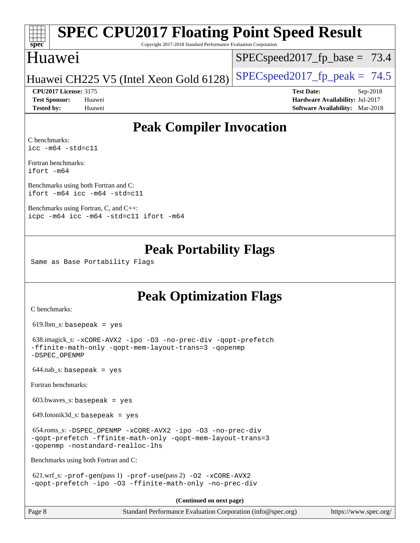# **[SPEC CPU2017 Floating Point Speed Result](http://www.spec.org/auto/cpu2017/Docs/result-fields.html#SPECCPU2017FloatingPointSpeedResult)**

Copyright 2017-2018 Standard Performance Evaluation Corporation

### Huawei

**[spec](http://www.spec.org/)**

 $SPECspeed2017_fp\_base = 73.4$ 

Huawei CH225 V5 (Intel Xeon Gold 6128) SPECspeed 2017 fp peak =  $74.5$ 

**[CPU2017 License:](http://www.spec.org/auto/cpu2017/Docs/result-fields.html#CPU2017License)** 3175 **[Test Date:](http://www.spec.org/auto/cpu2017/Docs/result-fields.html#TestDate)** Sep-2018

**[Test Sponsor:](http://www.spec.org/auto/cpu2017/Docs/result-fields.html#TestSponsor)** Huawei **[Hardware Availability:](http://www.spec.org/auto/cpu2017/Docs/result-fields.html#HardwareAvailability)** Jul-2017 **[Tested by:](http://www.spec.org/auto/cpu2017/Docs/result-fields.html#Testedby)** Huawei **[Software Availability:](http://www.spec.org/auto/cpu2017/Docs/result-fields.html#SoftwareAvailability)** Mar-2018

### **[Peak Compiler Invocation](http://www.spec.org/auto/cpu2017/Docs/result-fields.html#PeakCompilerInvocation)**

[C benchmarks](http://www.spec.org/auto/cpu2017/Docs/result-fields.html#Cbenchmarks): [icc -m64 -std=c11](http://www.spec.org/cpu2017/results/res2018q4/cpu2017-20180911-08849.flags.html#user_CCpeak_intel_icc_64bit_c11_33ee0cdaae7deeeab2a9725423ba97205ce30f63b9926c2519791662299b76a0318f32ddfffdc46587804de3178b4f9328c46fa7c2b0cd779d7a61945c91cd35)

[Fortran benchmarks](http://www.spec.org/auto/cpu2017/Docs/result-fields.html#Fortranbenchmarks): [ifort -m64](http://www.spec.org/cpu2017/results/res2018q4/cpu2017-20180911-08849.flags.html#user_FCpeak_intel_ifort_64bit_24f2bb282fbaeffd6157abe4f878425411749daecae9a33200eee2bee2fe76f3b89351d69a8130dd5949958ce389cf37ff59a95e7a40d588e8d3a57e0c3fd751)

[Benchmarks using both Fortran and C](http://www.spec.org/auto/cpu2017/Docs/result-fields.html#BenchmarksusingbothFortranandC): [ifort -m64](http://www.spec.org/cpu2017/results/res2018q4/cpu2017-20180911-08849.flags.html#user_CC_FCpeak_intel_ifort_64bit_24f2bb282fbaeffd6157abe4f878425411749daecae9a33200eee2bee2fe76f3b89351d69a8130dd5949958ce389cf37ff59a95e7a40d588e8d3a57e0c3fd751) [icc -m64 -std=c11](http://www.spec.org/cpu2017/results/res2018q4/cpu2017-20180911-08849.flags.html#user_CC_FCpeak_intel_icc_64bit_c11_33ee0cdaae7deeeab2a9725423ba97205ce30f63b9926c2519791662299b76a0318f32ddfffdc46587804de3178b4f9328c46fa7c2b0cd779d7a61945c91cd35)

[Benchmarks using Fortran, C, and C++:](http://www.spec.org/auto/cpu2017/Docs/result-fields.html#BenchmarksusingFortranCandCXX) [icpc -m64](http://www.spec.org/cpu2017/results/res2018q4/cpu2017-20180911-08849.flags.html#user_CC_CXX_FCpeak_intel_icpc_64bit_4ecb2543ae3f1412ef961e0650ca070fec7b7afdcd6ed48761b84423119d1bf6bdf5cad15b44d48e7256388bc77273b966e5eb805aefd121eb22e9299b2ec9d9) [icc -m64 -std=c11](http://www.spec.org/cpu2017/results/res2018q4/cpu2017-20180911-08849.flags.html#user_CC_CXX_FCpeak_intel_icc_64bit_c11_33ee0cdaae7deeeab2a9725423ba97205ce30f63b9926c2519791662299b76a0318f32ddfffdc46587804de3178b4f9328c46fa7c2b0cd779d7a61945c91cd35) [ifort -m64](http://www.spec.org/cpu2017/results/res2018q4/cpu2017-20180911-08849.flags.html#user_CC_CXX_FCpeak_intel_ifort_64bit_24f2bb282fbaeffd6157abe4f878425411749daecae9a33200eee2bee2fe76f3b89351d69a8130dd5949958ce389cf37ff59a95e7a40d588e8d3a57e0c3fd751)

### **[Peak Portability Flags](http://www.spec.org/auto/cpu2017/Docs/result-fields.html#PeakPortabilityFlags)**

Same as Base Portability Flags

## **[Peak Optimization Flags](http://www.spec.org/auto/cpu2017/Docs/result-fields.html#PeakOptimizationFlags)**

[C benchmarks](http://www.spec.org/auto/cpu2017/Docs/result-fields.html#Cbenchmarks):

619.lbm\_s: basepeak = yes

```
 638.imagick_s: -xCORE-AVX2 -ipo -O3 -no-prec-div -qopt-prefetch
-ffinite-math-only -qopt-mem-layout-trans=3 -qopenmp
-DSPEC_OPENMP
```
 $644.nab$ <sub>S</sub>: basepeak = yes

[Fortran benchmarks](http://www.spec.org/auto/cpu2017/Docs/result-fields.html#Fortranbenchmarks):

 $603.bwaves$  s: basepeak = yes

 $649.$ fotonik $3d$ <sub>-</sub>s: basepeak = yes

```
 654.roms_s: -DSPEC_OPENMP -xCORE-AVX2 -ipo -O3 -no-prec-div
-qopt-prefetch -ffinite-math-only -qopt-mem-layout-trans=3
-qopenmp -nostandard-realloc-lhs
```
[Benchmarks using both Fortran and C](http://www.spec.org/auto/cpu2017/Docs/result-fields.html#BenchmarksusingbothFortranandC):

 621.wrf\_s: [-prof-gen](http://www.spec.org/cpu2017/results/res2018q4/cpu2017-20180911-08849.flags.html#user_peakPASS1_CFLAGSPASS1_FFLAGSPASS1_LDFLAGS621_wrf_s_prof_gen_5aa4926d6013ddb2a31985c654b3eb18169fc0c6952a63635c234f711e6e63dd76e94ad52365559451ec499a2cdb89e4dc58ba4c67ef54ca681ffbe1461d6b36)(pass 1) [-prof-use](http://www.spec.org/cpu2017/results/res2018q4/cpu2017-20180911-08849.flags.html#user_peakPASS2_CFLAGSPASS2_FFLAGSPASS2_LDFLAGS621_wrf_s_prof_use_1a21ceae95f36a2b53c25747139a6c16ca95bd9def2a207b4f0849963b97e94f5260e30a0c64f4bb623698870e679ca08317ef8150905d41bd88c6f78df73f19)(pass 2) [-O2](http://www.spec.org/cpu2017/results/res2018q4/cpu2017-20180911-08849.flags.html#user_peakPASS1_COPTIMIZEPASS1_FOPTIMIZE621_wrf_s_f-O2) [-xCORE-AVX2](http://www.spec.org/cpu2017/results/res2018q4/cpu2017-20180911-08849.flags.html#user_peakPASS2_COPTIMIZEPASS2_FOPTIMIZE621_wrf_s_f-xCORE-AVX2) [-qopt-prefetch](http://www.spec.org/cpu2017/results/res2018q4/cpu2017-20180911-08849.flags.html#user_peakPASS1_COPTIMIZEPASS1_FOPTIMIZEPASS2_COPTIMIZEPASS2_FOPTIMIZE621_wrf_s_f-qopt-prefetch) [-ipo](http://www.spec.org/cpu2017/results/res2018q4/cpu2017-20180911-08849.flags.html#user_peakPASS2_COPTIMIZEPASS2_FOPTIMIZE621_wrf_s_f-ipo) [-O3](http://www.spec.org/cpu2017/results/res2018q4/cpu2017-20180911-08849.flags.html#user_peakPASS2_COPTIMIZEPASS2_FOPTIMIZE621_wrf_s_f-O3) [-ffinite-math-only](http://www.spec.org/cpu2017/results/res2018q4/cpu2017-20180911-08849.flags.html#user_peakPASS1_COPTIMIZEPASS1_FOPTIMIZEPASS2_COPTIMIZEPASS2_FOPTIMIZE621_wrf_s_f_finite_math_only_cb91587bd2077682c4b38af759c288ed7c732db004271a9512da14a4f8007909a5f1427ecbf1a0fb78ff2a814402c6114ac565ca162485bbcae155b5e4258871) [-no-prec-div](http://www.spec.org/cpu2017/results/res2018q4/cpu2017-20180911-08849.flags.html#user_peakPASS2_COPTIMIZEPASS2_FOPTIMIZE621_wrf_s_f-no-prec-div)

**(Continued on next page)**